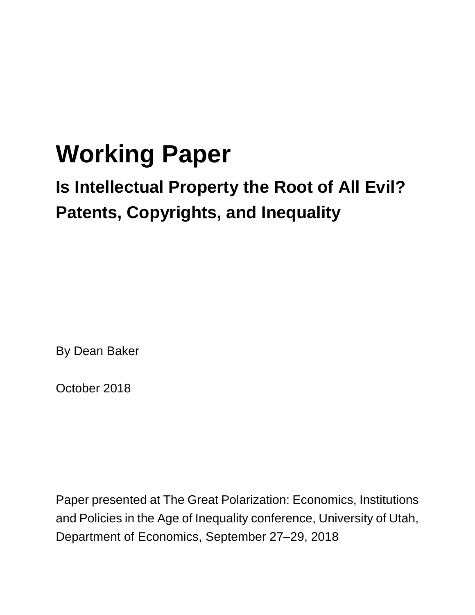# **Working Paper**

## **Is Intellectual Property the Root of All Evil? Patents, Copyrights, and Inequality**

By Dean Baker

October 2018

Paper presented at The Great Polarization: Economics, Institutions and Policies in the Age of Inequality conference, University of Utah, Department of Economics, September 27–29, 2018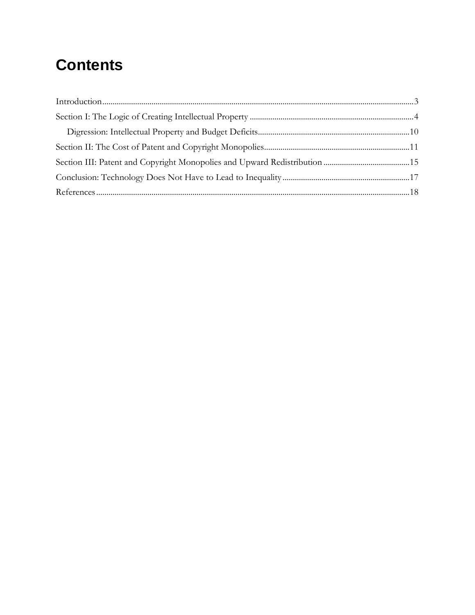### **Contents**

| $Introduction                           3 $ |  |
|---------------------------------------------|--|
|                                             |  |
|                                             |  |
|                                             |  |
|                                             |  |
|                                             |  |
|                                             |  |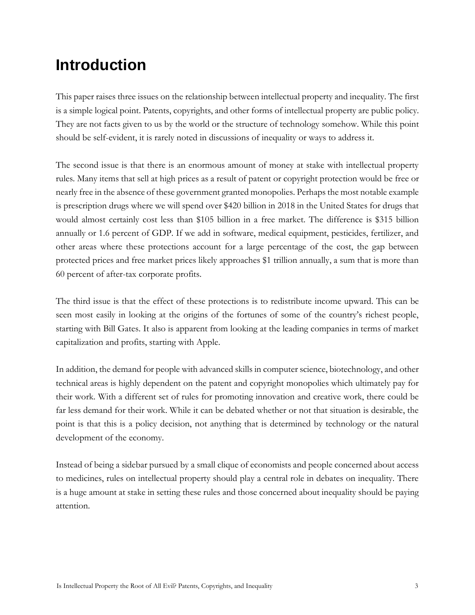### <span id="page-2-0"></span>**Introduction**

This paper raises three issues on the relationship between intellectual property and inequality. The first is a simple logical point. Patents, copyrights, and other forms of intellectual property are public policy. They are not facts given to us by the world or the structure of technology somehow. While this point should be self-evident, it is rarely noted in discussions of inequality or ways to address it.

The second issue is that there is an enormous amount of money at stake with intellectual property rules. Many items that sell at high prices as a result of patent or copyright protection would be free or nearly free in the absence of these government granted monopolies. Perhaps the most notable example is prescription drugs where we will spend over \$420 billion in 2018 in the United States for drugs that would almost certainly cost less than \$105 billion in a free market. The difference is \$315 billion annually or 1.6 percent of GDP. If we add in software, medical equipment, pesticides, fertilizer, and other areas where these protections account for a large percentage of the cost, the gap between protected prices and free market prices likely approaches \$1 trillion annually, a sum that is more than 60 percent of after-tax corporate profits.

The third issue is that the effect of these protections is to redistribute income upward. This can be seen most easily in looking at the origins of the fortunes of some of the country's richest people, starting with Bill Gates. It also is apparent from looking at the leading companies in terms of market capitalization and profits, starting with Apple.

In addition, the demand for people with advanced skills in computer science, biotechnology, and other technical areas is highly dependent on the patent and copyright monopolies which ultimately pay for their work. With a different set of rules for promoting innovation and creative work, there could be far less demand for their work. While it can be debated whether or not that situation is desirable, the point is that this is a policy decision, not anything that is determined by technology or the natural development of the economy.

Instead of being a sidebar pursued by a small clique of economists and people concerned about access to medicines, rules on intellectual property should play a central role in debates on inequality. There is a huge amount at stake in setting these rules and those concerned about inequality should be paying attention.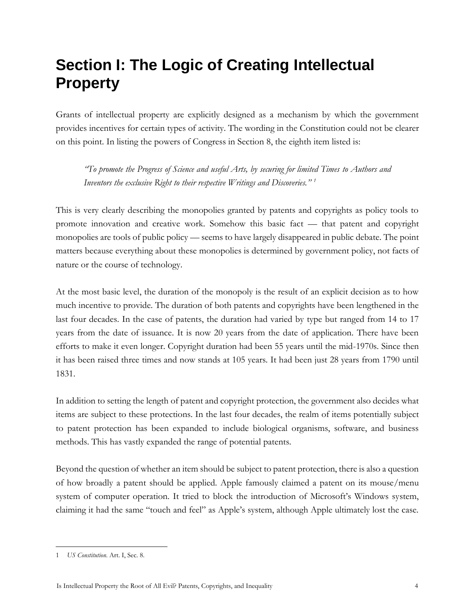### <span id="page-3-0"></span>**Section I: The Logic of Creating Intellectual Property**

Grants of intellectual property are explicitly designed as a mechanism by which the government provides incentives for certain types of activity. The wording in the Constitution could not be clearer on this point. In listing the powers of Congress in Section 8, the eighth item listed is:

*"To promote the Progress of Science and useful Arts, by securing for limited Times to Authors and Inventors the exclusive Right to their respective Writings and Discoveries." <sup>1</sup>*

This is very clearly describing the monopolies granted by patents and copyrights as policy tools to promote innovation and creative work. Somehow this basic fact — that patent and copyright monopolies are tools of public policy — seems to have largely disappeared in public debate. The point matters because everything about these monopolies is determined by government policy, not facts of nature or the course of technology.

At the most basic level, the duration of the monopoly is the result of an explicit decision as to how much incentive to provide. The duration of both patents and copyrights have been lengthened in the last four decades. In the case of patents, the duration had varied by type but ranged from 14 to 17 years from the date of issuance. It is now 20 years from the date of application. There have been efforts to make it even longer. Copyright duration had been 55 years until the mid-1970s. Since then it has been raised three times and now stands at 105 years. It had been just 28 years from 1790 until 1831.

In addition to setting the length of patent and copyright protection, the government also decides what items are subject to these protections. In the last four decades, the realm of items potentially subject to patent protection has been expanded to include biological organisms, software, and business methods. This has vastly expanded the range of potential patents.

Beyond the question of whether an item should be subject to patent protection, there is also a question of how broadly a patent should be applied. Apple famously claimed a patent on its mouse/menu system of computer operation. It tried to block the introduction of Microsoft's Windows system, claiming it had the same "touch and feel" as Apple's system, although Apple ultimately lost the case.

<sup>1</sup> *US Constitution*. Art. I, Sec. 8.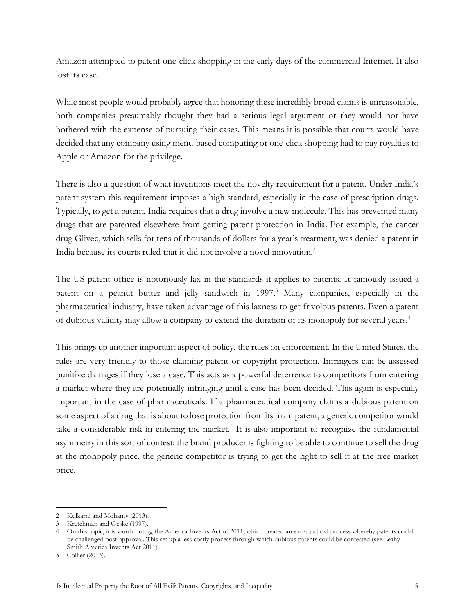Amazon attempted to patent one-click shopping in the early days of the commercial Internet. It also lost its case.

While most people would probably agree that honoring these incredibly broad claims is unreasonable, both companies presumably thought they had a serious legal argument or they would not have bothered with the expense of pursuing their cases. This means it is possible that courts would have decided that any company using menu-based computing or one-click shopping had to pay royalties to Apple or Amazon for the privilege.

There is also a question of what inventions meet the novelty requirement for a patent. Under India's patent system this requirement imposes a high standard, especially in the case of prescription drugs. Typically, to get a patent, India requires that a drug involve a new molecule. This has prevented many drugs that are patented elsewhere from getting patent protection in India. For example, the cancer drug Glivec, which sells for tens of thousands of dollars for a year's treatment, was denied a patent in India because its courts ruled that it did not involve a novel innovation.<sup>2</sup>

The US patent office is notoriously lax in the standards it applies to patents. It famously issued a patent on a peanut butter and jelly sandwich in 1997.<sup>3</sup> Many companies, especially in the pharmaceutical industry, have taken advantage of this laxness to get frivolous patents. Even a patent of dubious validity may allow a company to extend the duration of its monopoly for several years.<sup>4</sup>

This brings up another important aspect of policy, the rules on enforcement. In the United States, the rules are very friendly to those claiming patent or copyright protection. Infringers can be assessed punitive damages if they lose a case. This acts as a powerful deterrence to competitors from entering a market where they are potentially infringing until a case has been decided. This again is especially important in the case of pharmaceuticals. If a pharmaceutical company claims a dubious patent on some aspect of a drug that is about to lose protection from its main patent, a generic competitor would take a considerable risk in entering the market.<sup>5</sup> It is also important to recognize the fundamental asymmetry in this sort of contest: the brand producer is fighting to be able to continue to sell the drug at the monopoly price, the generic competitor is trying to get the right to sell it at the free market price.

<sup>2</sup> Kulkarni and Mohanty (2013).

<sup>3</sup> Kretchman and Geske (1997).

<sup>4</sup> On this topic, it is worth noting the America Invents Act of 2011, which created an extra-judicial process whereby patents could be challenged post-approval. This set up a less costly process through which dubious patents could be contested (see Leahy– Smith America Invents Act 2011).

<sup>5</sup> Collier (2013).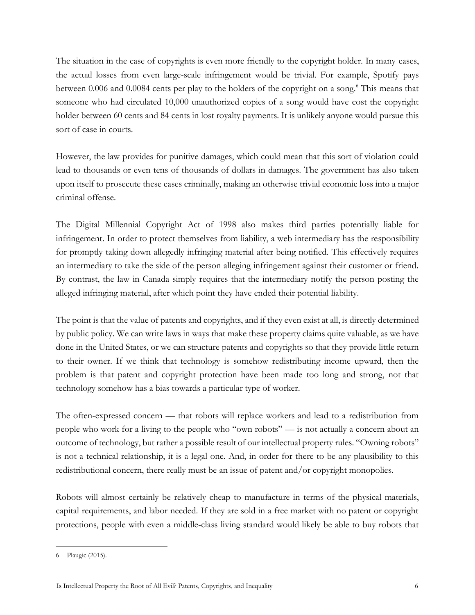The situation in the case of copyrights is even more friendly to the copyright holder. In many cases, the actual losses from even large-scale infringement would be trivial. For example, Spotify pays between 0.006 and 0.0084 cents per play to the holders of the copyright on a song.<sup>6</sup> This means that someone who had circulated 10,000 unauthorized copies of a song would have cost the copyright holder between 60 cents and 84 cents in lost royalty payments. It is unlikely anyone would pursue this sort of case in courts.

However, the law provides for punitive damages, which could mean that this sort of violation could lead to thousands or even tens of thousands of dollars in damages. The government has also taken upon itself to prosecute these cases criminally, making an otherwise trivial economic loss into a major criminal offense.

The Digital Millennial Copyright Act of 1998 also makes third parties potentially liable for infringement. In order to protect themselves from liability, a web intermediary has the responsibility for promptly taking down allegedly infringing material after being notified. This effectively requires an intermediary to take the side of the person alleging infringement against their customer or friend. By contrast, the law in Canada simply requires that the intermediary notify the person posting the alleged infringing material, after which point they have ended their potential liability.

The point is that the value of patents and copyrights, and if they even exist at all, is directly determined by public policy. We can write laws in ways that make these property claims quite valuable, as we have done in the United States, or we can structure patents and copyrights so that they provide little return to their owner. If we think that technology is somehow redistributing income upward, then the problem is that patent and copyright protection have been made too long and strong, not that technology somehow has a bias towards a particular type of worker.

The often-expressed concern — that robots will replace workers and lead to a redistribution from people who work for a living to the people who "own robots" — is not actually a concern about an outcome of technology, but rather a possible result of our intellectual property rules. "Owning robots" is not a technical relationship, it is a legal one. And, in order for there to be any plausibility to this redistributional concern, there really must be an issue of patent and/or copyright monopolies.

Robots will almost certainly be relatively cheap to manufacture in terms of the physical materials, capital requirements, and labor needed. If they are sold in a free market with no patent or copyright protections, people with even a middle-class living standard would likely be able to buy robots that

<sup>6</sup> Plaugic (2015).

Is Intellectual Property the Root of All Evil? Patents, Copyrights, and Inequality 6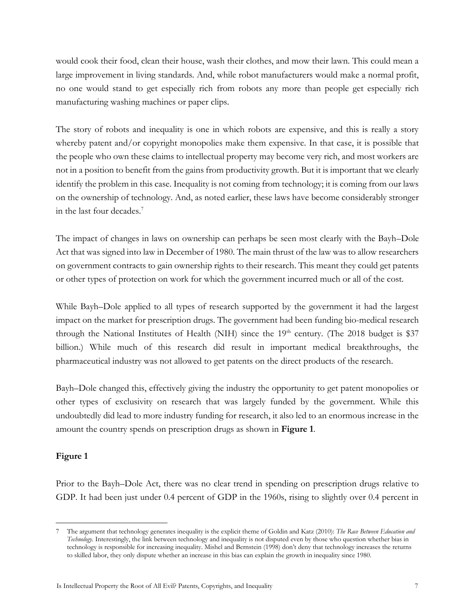would cook their food, clean their house, wash their clothes, and mow their lawn. This could mean a large improvement in living standards. And, while robot manufacturers would make a normal profit, no one would stand to get especially rich from robots any more than people get especially rich manufacturing washing machines or paper clips.

The story of robots and inequality is one in which robots are expensive, and this is really a story whereby patent and/or copyright monopolies make them expensive. In that case, it is possible that the people who own these claims to intellectual property may become very rich, and most workers are not in a position to benefit from the gains from productivity growth. But it is important that we clearly identify the problem in this case. Inequality is not coming from technology; it is coming from our laws on the ownership of technology. And, as noted earlier, these laws have become considerably stronger in the last four decades.<sup>7</sup>

The impact of changes in laws on ownership can perhaps be seen most clearly with the Bayh–Dole Act that was signed into law in December of 1980. The main thrust of the law was to allow researchers on government contracts to gain ownership rights to their research. This meant they could get patents or other types of protection on work for which the government incurred much or all of the cost.

While Bayh–Dole applied to all types of research supported by the government it had the largest impact on the market for prescription drugs. The government had been funding bio-medical research through the National Institutes of Health (NIH) since the  $19<sup>th</sup>$  century. (The 2018 budget is \$37 billion.) While much of this research did result in important medical breakthroughs, the pharmaceutical industry was not allowed to get patents on the direct products of the research.

Bayh–Dole changed this, effectively giving the industry the opportunity to get patent monopolies or other types of exclusivity on research that was largely funded by the government. While this undoubtedly did lead to more industry funding for research, it also led to an enormous increase in the amount the country spends on prescription drugs as shown in **Figure 1**.

#### **Figure 1**

 $\overline{a}$ 

Prior to the Bayh–Dole Act, there was no clear trend in spending on prescription drugs relative to GDP. It had been just under 0.4 percent of GDP in the 1960s, rising to slightly over 0.4 percent in

<sup>7</sup> The argument that technology generates inequality is the explicit theme of Goldin and Katz (2010): *The Race Between Education and Technology*. Interestingly, the link between technology and inequality is not disputed even by those who question whether bias in technology is responsible for increasing inequality. Mishel and Bernstein (1998) don't deny that technology increases the returns to skilled labor, they only dispute whether an increase in this bias can explain the growth in inequality since 1980.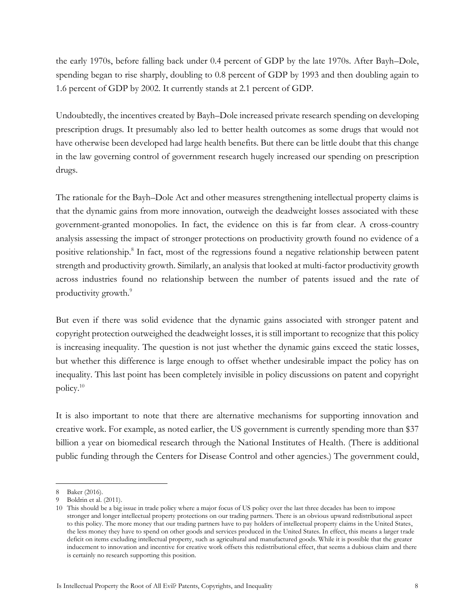the early 1970s, before falling back under 0.4 percent of GDP by the late 1970s. After Bayh–Dole, spending began to rise sharply, doubling to 0.8 percent of GDP by 1993 and then doubling again to 1.6 percent of GDP by 2002. It currently stands at 2.1 percent of GDP.

Undoubtedly, the incentives created by Bayh–Dole increased private research spending on developing prescription drugs. It presumably also led to better health outcomes as some drugs that would not have otherwise been developed had large health benefits. But there can be little doubt that this change in the law governing control of government research hugely increased our spending on prescription drugs.

The rationale for the Bayh–Dole Act and other measures strengthening intellectual property claims is that the dynamic gains from more innovation, outweigh the deadweight losses associated with these government-granted monopolies. In fact, the evidence on this is far from clear. A cross-country analysis assessing the impact of stronger protections on productivity growth found no evidence of a positive relationship.<sup>8</sup> In fact, most of the regressions found a negative relationship between patent strength and productivity growth. Similarly, an analysis that looked at multi-factor productivity growth across industries found no relationship between the number of patents issued and the rate of productivity growth. 9

But even if there was solid evidence that the dynamic gains associated with stronger patent and copyright protection outweighed the deadweight losses, it is still important to recognize that this policy is increasing inequality. The question is not just whether the dynamic gains exceed the static losses, but whether this difference is large enough to offset whether undesirable impact the policy has on inequality. This last point has been completely invisible in policy discussions on patent and copyright policy.<sup>10</sup>

It is also important to note that there are alternative mechanisms for supporting innovation and creative work. For example, as noted earlier, the US government is currently spending more than \$37 billion a year on biomedical research through the National Institutes of Health. (There is additional public funding through the Centers for Disease Control and other agencies.) The government could,

<sup>8</sup> Baker (2016).

<sup>9</sup> Boldrin et al. (2011).

<sup>10</sup> This should be a big issue in trade policy where a major focus of US policy over the last three decades has been to impose stronger and longer intellectual property protections on our trading partners. There is an obvious upward redistributional aspect to this policy. The more money that our trading partners have to pay holders of intellectual property claims in the United States, the less money they have to spend on other goods and services produced in the United States. In effect, this means a larger trade deficit on items excluding intellectual property, such as agricultural and manufactured goods. While it is possible that the greater inducement to innovation and incentive for creative work offsets this redistributional effect, that seems a dubious claim and there is certainly no research supporting this position.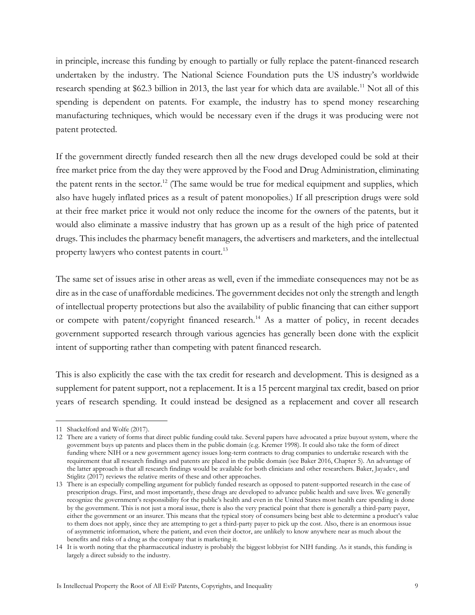in principle, increase this funding by enough to partially or fully replace the patent-financed research undertaken by the industry. The National Science Foundation puts the US industry's worldwide research spending at \$62.3 billion in 2013, the last year for which data are available.<sup>11</sup> Not all of this spending is dependent on patents. For example, the industry has to spend money researching manufacturing techniques, which would be necessary even if the drugs it was producing were not patent protected.

If the government directly funded research then all the new drugs developed could be sold at their free market price from the day they were approved by the Food and Drug Administration, eliminating the patent rents in the sector.<sup>12</sup> (The same would be true for medical equipment and supplies, which also have hugely inflated prices as a result of patent monopolies.) If all prescription drugs were sold at their free market price it would not only reduce the income for the owners of the patents, but it would also eliminate a massive industry that has grown up as a result of the high price of patented drugs. This includes the pharmacy benefit managers, the advertisers and marketers, and the intellectual property lawyers who contest patents in court.<sup>13</sup>

The same set of issues arise in other areas as well, even if the immediate consequences may not be as dire as in the case of unaffordable medicines. The government decides not only the strength and length of intellectual property protections but also the availability of public financing that can either support or compete with patent/copyright financed research.<sup>14</sup> As a matter of policy, in recent decades government supported research through various agencies has generally been done with the explicit intent of supporting rather than competing with patent financed research.

This is also explicitly the case with the tax credit for research and development. This is designed as a supplement for patent support, not a replacement. It is a 15 percent marginal tax credit, based on prior years of research spending. It could instead be designed as a replacement and cover all research

<sup>11</sup> Shackelford and Wolfe (2017).

<sup>12</sup> There are a variety of forms that direct public funding could take. Several papers have advocated a prize buyout system, where the government buys up patents and places them in the public domain (e.g. Kremer 1998). It could also take the form of direct funding where NIH or a new government agency issues long-term contracts to drug companies to undertake research with the requirement that all research findings and patents are placed in the public domain (see Baker 2016, Chapter 5). An advantage of the latter approach is that all research findings would be available for both clinicians and other researchers. Baker, Jayadev, and Stiglitz (2017) reviews the relative merits of these and other approaches.

<sup>13</sup> There is an especially compelling argument for publicly funded research as opposed to patent-supported research in the case of prescription drugs. First, and most importantly, these drugs are developed to advance public health and save lives. We generally recognize the government's responsibility for the public's health and even in the United States most health care spending is done by the government. This is not just a moral issue, there is also the very practical point that there is generally a third-party payer, either the government or an insurer. This means that the typical story of consumers being best able to determine a product's value to them does not apply, since they are attempting to get a third-party payer to pick up the cost. Also, there is an enormous issue of asymmetric information, where the patient, and even their doctor, are unlikely to know anywhere near as much about the benefits and risks of a drug as the company that is marketing it.

<sup>14</sup> It is worth noting that the pharmaceutical industry is probably the biggest lobbyist for NIH funding. As it stands, this funding is largely a direct subsidy to the industry.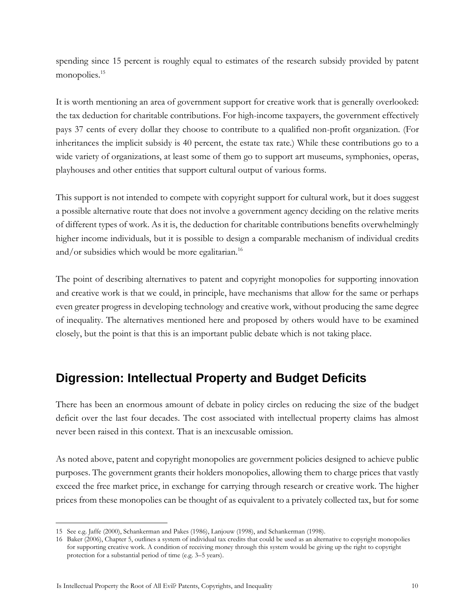spending since 15 percent is roughly equal to estimates of the research subsidy provided by patent monopolies.<sup>15</sup>

It is worth mentioning an area of government support for creative work that is generally overlooked: the tax deduction for charitable contributions. For high-income taxpayers, the government effectively pays 37 cents of every dollar they choose to contribute to a qualified non-profit organization. (For inheritances the implicit subsidy is 40 percent, the estate tax rate.) While these contributions go to a wide variety of organizations, at least some of them go to support art museums, symphonies, operas, playhouses and other entities that support cultural output of various forms.

This support is not intended to compete with copyright support for cultural work, but it does suggest a possible alternative route that does not involve a government agency deciding on the relative merits of different types of work. As it is, the deduction for charitable contributions benefits overwhelmingly higher income individuals, but it is possible to design a comparable mechanism of individual credits and/or subsidies which would be more egalitarian.<sup>16</sup>

The point of describing alternatives to patent and copyright monopolies for supporting innovation and creative work is that we could, in principle, have mechanisms that allow for the same or perhaps even greater progress in developing technology and creative work, without producing the same degree of inequality. The alternatives mentioned here and proposed by others would have to be examined closely, but the point is that this is an important public debate which is not taking place.

#### <span id="page-9-0"></span>**Digression: Intellectual Property and Budget Deficits**

There has been an enormous amount of debate in policy circles on reducing the size of the budget deficit over the last four decades. The cost associated with intellectual property claims has almost never been raised in this context. That is an inexcusable omission.

As noted above, patent and copyright monopolies are government policies designed to achieve public purposes. The government grants their holders monopolies, allowing them to charge prices that vastly exceed the free market price, in exchange for carrying through research or creative work. The higher prices from these monopolies can be thought of as equivalent to a privately collected tax, but for some

 $\overline{a}$ 15 See e.g. Jaffe (2000), Schankerman and Pakes (1986), Lanjouw (1998), and Schankerman (1998).

<sup>16</sup> Baker (2006), Chapter 5, outlines a system of individual tax credits that could be used as an alternative to copyright monopolies for supporting creative work. A condition of receiving money through this system would be giving up the right to copyright protection for a substantial period of time (e.g. 3–5 years).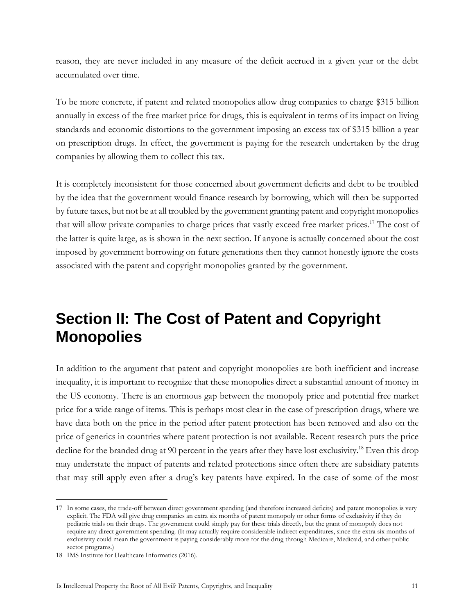reason, they are never included in any measure of the deficit accrued in a given year or the debt accumulated over time.

To be more concrete, if patent and related monopolies allow drug companies to charge \$315 billion annually in excess of the free market price for drugs, this is equivalent in terms of its impact on living standards and economic distortions to the government imposing an excess tax of \$315 billion a year on prescription drugs. In effect, the government is paying for the research undertaken by the drug companies by allowing them to collect this tax.

It is completely inconsistent for those concerned about government deficits and debt to be troubled by the idea that the government would finance research by borrowing, which will then be supported by future taxes, but not be at all troubled by the government granting patent and copyright monopolies that will allow private companies to charge prices that vastly exceed free market prices.<sup>17</sup> The cost of the latter is quite large, as is shown in the next section. If anyone is actually concerned about the cost imposed by government borrowing on future generations then they cannot honestly ignore the costs associated with the patent and copyright monopolies granted by the government.

### <span id="page-10-0"></span>**Section II: The Cost of Patent and Copyright Monopolies**

In addition to the argument that patent and copyright monopolies are both inefficient and increase inequality, it is important to recognize that these monopolies direct a substantial amount of money in the US economy. There is an enormous gap between the monopoly price and potential free market price for a wide range of items. This is perhaps most clear in the case of prescription drugs, where we have data both on the price in the period after patent protection has been removed and also on the price of generics in countries where patent protection is not available. Recent research puts the price decline for the branded drug at 90 percent in the years after they have lost exclusivity.<sup>18</sup> Even this drop may understate the impact of patents and related protections since often there are subsidiary patents that may still apply even after a drug's key patents have expired. In the case of some of the most

<sup>17</sup> In some cases, the trade-off between direct government spending (and therefore increased deficits) and patent monopolies is very explicit. The FDA will give drug companies an extra six months of patent monopoly or other forms of exclusivity if they do pediatric trials on their drugs. The government could simply pay for these trials directly, but the grant of monopoly does not require any direct government spending. (It may actually require considerable indirect expenditures, since the extra six months of exclusivity could mean the government is paying considerably more for the drug through Medicare, Medicaid, and other public sector programs.)

<sup>18</sup> IMS Institute for Healthcare Informatics (2016).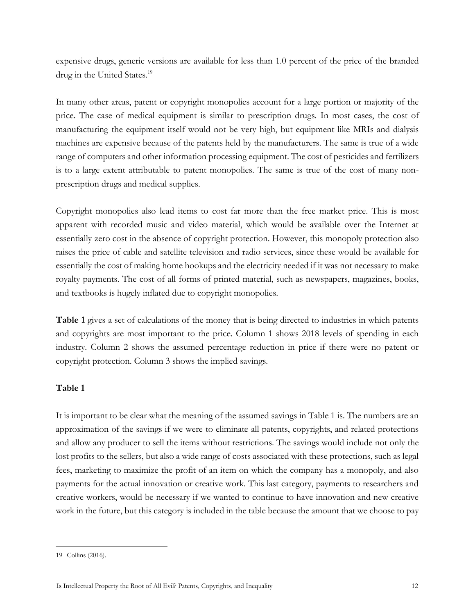expensive drugs, generic versions are available for less than 1.0 percent of the price of the branded drug in the United States.<sup>19</sup>

In many other areas, patent or copyright monopolies account for a large portion or majority of the price. The case of medical equipment is similar to prescription drugs. In most cases, the cost of manufacturing the equipment itself would not be very high, but equipment like MRIs and dialysis machines are expensive because of the patents held by the manufacturers. The same is true of a wide range of computers and other information processing equipment. The cost of pesticides and fertilizers is to a large extent attributable to patent monopolies. The same is true of the cost of many nonprescription drugs and medical supplies.

Copyright monopolies also lead items to cost far more than the free market price. This is most apparent with recorded music and video material, which would be available over the Internet at essentially zero cost in the absence of copyright protection. However, this monopoly protection also raises the price of cable and satellite television and radio services, since these would be available for essentially the cost of making home hookups and the electricity needed if it was not necessary to make royalty payments. The cost of all forms of printed material, such as newspapers, magazines, books, and textbooks is hugely inflated due to copyright monopolies.

**Table 1** gives a set of calculations of the money that is being directed to industries in which patents and copyrights are most important to the price. Column 1 shows 2018 levels of spending in each industry. Column 2 shows the assumed percentage reduction in price if there were no patent or copyright protection. Column 3 shows the implied savings.

#### **Table 1**

It is important to be clear what the meaning of the assumed savings in Table 1 is. The numbers are an approximation of the savings if we were to eliminate all patents, copyrights, and related protections and allow any producer to sell the items without restrictions. The savings would include not only the lost profits to the sellers, but also a wide range of costs associated with these protections, such as legal fees, marketing to maximize the profit of an item on which the company has a monopoly, and also payments for the actual innovation or creative work. This last category, payments to researchers and creative workers, would be necessary if we wanted to continue to have innovation and new creative work in the future, but this category is included in the table because the amount that we choose to pay

<sup>19</sup> Collins (2016).

Is Intellectual Property the Root of All Evil? Patents, Copyrights, and Inequality 12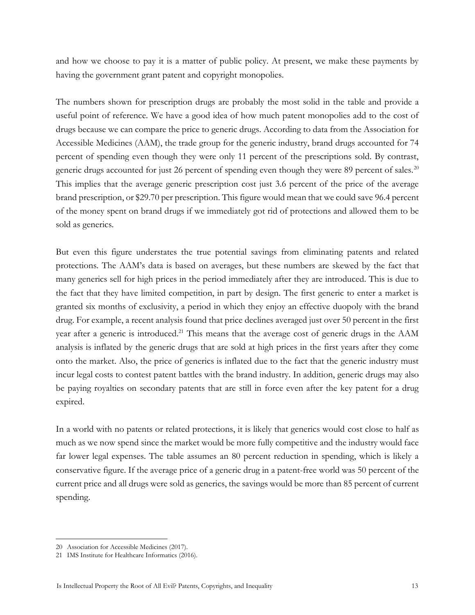and how we choose to pay it is a matter of public policy. At present, we make these payments by having the government grant patent and copyright monopolies.

The numbers shown for prescription drugs are probably the most solid in the table and provide a useful point of reference. We have a good idea of how much patent monopolies add to the cost of drugs because we can compare the price to generic drugs. According to data from the Association for Accessible Medicines (AAM), the trade group for the generic industry, brand drugs accounted for 74 percent of spending even though they were only 11 percent of the prescriptions sold. By contrast, generic drugs accounted for just 26 percent of spending even though they were 89 percent of sales.<sup>20</sup> This implies that the average generic prescription cost just 3.6 percent of the price of the average brand prescription, or \$29.70 per prescription. This figure would mean that we could save 96.4 percent of the money spent on brand drugs if we immediately got rid of protections and allowed them to be sold as generics.

But even this figure understates the true potential savings from eliminating patents and related protections. The AAM's data is based on averages, but these numbers are skewed by the fact that many generics sell for high prices in the period immediately after they are introduced. This is due to the fact that they have limited competition, in part by design. The first generic to enter a market is granted six months of exclusivity, a period in which they enjoy an effective duopoly with the brand drug. For example, a recent analysis found that price declines averaged just over 50 percent in the first year after a generic is introduced.<sup>21</sup> This means that the average cost of generic drugs in the AAM analysis is inflated by the generic drugs that are sold at high prices in the first years after they come onto the market. Also, the price of generics is inflated due to the fact that the generic industry must incur legal costs to contest patent battles with the brand industry. In addition, generic drugs may also be paying royalties on secondary patents that are still in force even after the key patent for a drug expired.

In a world with no patents or related protections, it is likely that generics would cost close to half as much as we now spend since the market would be more fully competitive and the industry would face far lower legal expenses. The table assumes an 80 percent reduction in spending, which is likely a conservative figure. If the average price of a generic drug in a patent-free world was 50 percent of the current price and all drugs were sold as generics, the savings would be more than 85 percent of current spending.

<sup>20</sup> Association for Accessible Medicines (2017).

<sup>21</sup> IMS Institute for Healthcare Informatics (2016).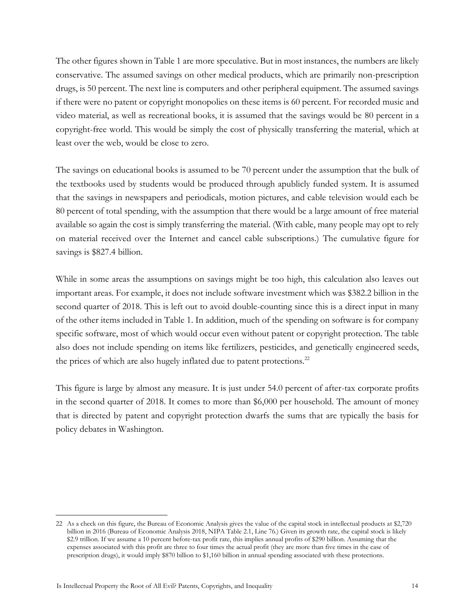The other figures shown in Table 1 are more speculative. But in most instances, the numbers are likely conservative. The assumed savings on other medical products, which are primarily non-prescription drugs, is 50 percent. The next line is computers and other peripheral equipment. The assumed savings if there were no patent or copyright monopolies on these items is 60 percent. For recorded music and video material, as well as recreational books, it is assumed that the savings would be 80 percent in a copyright-free world. This would be simply the cost of physically transferring the material, which at least over the web, would be close to zero.

The savings on educational books is assumed to be 70 percent under the assumption that the bulk of the textbooks used by students would be produced through apublicly funded system. It is assumed that the savings in newspapers and periodicals, motion pictures, and cable television would each be 80 percent of total spending, with the assumption that there would be a large amount of free material available so again the cost is simply transferring the material. (With cable, many people may opt to rely on material received over the Internet and cancel cable subscriptions.) The cumulative figure for savings is \$827.4 billion.

While in some areas the assumptions on savings might be too high, this calculation also leaves out important areas. For example, it does not include software investment which was \$382.2 billion in the second quarter of 2018. This is left out to avoid double-counting since this is a direct input in many of the other items included in Table 1. In addition, much of the spending on software is for company specific software, most of which would occur even without patent or copyright protection. The table also does not include spending on items like fertilizers, pesticides, and genetically engineered seeds, the prices of which are also hugely inflated due to patent protections.<sup>22</sup>

This figure is large by almost any measure. It is just under 54.0 percent of after-tax corporate profits in the second quarter of 2018. It comes to more than \$6,000 per household. The amount of money that is directed by patent and copyright protection dwarfs the sums that are typically the basis for policy debates in Washington.

<sup>22</sup> As a check on this figure, the Bureau of Economic Analysis gives the value of the capital stock in intellectual products at \$2,720 billion in 2016 (Bureau of Economic Analysis 2018, NIPA Table 2.1, Line 76.) Given its growth rate, the capital stock is likely \$2.9 trillion. If we assume a 10 percent before-tax profit rate, this implies annual profits of \$290 billion. Assuming that the expenses associated with this profit are three to four times the actual profit (they are more than five times in the case of prescription drugs), it would imply \$870 billion to \$1,160 billion in annual spending associated with these protections.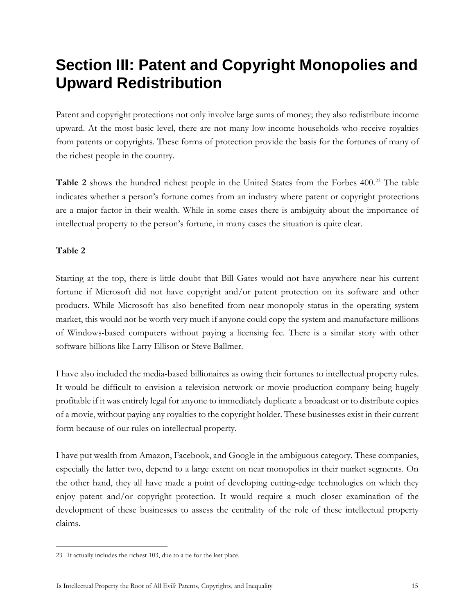### <span id="page-14-0"></span>**Section III: Patent and Copyright Monopolies and Upward Redistribution**

Patent and copyright protections not only involve large sums of money; they also redistribute income upward. At the most basic level, there are not many low-income households who receive royalties from patents or copyrights. These forms of protection provide the basis for the fortunes of many of the richest people in the country.

**Table 2** shows the hundred richest people in the United States from the Forbes 400.<sup>23</sup> The table indicates whether a person's fortune comes from an industry where patent or copyright protections are a major factor in their wealth. While in some cases there is ambiguity about the importance of intellectual property to the person's fortune, in many cases the situation is quite clear.

#### **Table 2**

Starting at the top, there is little doubt that Bill Gates would not have anywhere near his current fortune if Microsoft did not have copyright and/or patent protection on its software and other products. While Microsoft has also benefited from near-monopoly status in the operating system market, this would not be worth very much if anyone could copy the system and manufacture millions of Windows-based computers without paying a licensing fee. There is a similar story with other software billions like Larry Ellison or Steve Ballmer.

I have also included the media-based billionaires as owing their fortunes to intellectual property rules. It would be difficult to envision a television network or movie production company being hugely profitable if it was entirely legal for anyone to immediately duplicate a broadcast or to distribute copies of a movie, without paying any royalties to the copyright holder. These businesses exist in their current form because of our rules on intellectual property.

I have put wealth from Amazon, Facebook, and Google in the ambiguous category. These companies, especially the latter two, depend to a large extent on near monopolies in their market segments. On the other hand, they all have made a point of developing cutting-edge technologies on which they enjoy patent and/or copyright protection. It would require a much closer examination of the development of these businesses to assess the centrality of the role of these intellectual property claims.

 $\overline{a}$ 23 It actually includes the richest 103, due to a tie for the last place.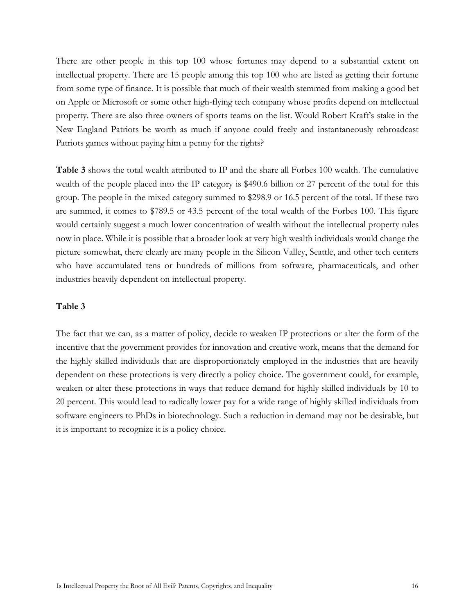There are other people in this top 100 whose fortunes may depend to a substantial extent on intellectual property. There are 15 people among this top 100 who are listed as getting their fortune from some type of finance. It is possible that much of their wealth stemmed from making a good bet on Apple or Microsoft or some other high-flying tech company whose profits depend on intellectual property. There are also three owners of sports teams on the list. Would Robert Kraft's stake in the New England Patriots be worth as much if anyone could freely and instantaneously rebroadcast Patriots games without paying him a penny for the rights?

**Table 3** shows the total wealth attributed to IP and the share all Forbes 100 wealth. The cumulative wealth of the people placed into the IP category is \$490.6 billion or 27 percent of the total for this group. The people in the mixed category summed to \$298.9 or 16.5 percent of the total. If these two are summed, it comes to \$789.5 or 43.5 percent of the total wealth of the Forbes 100. This figure would certainly suggest a much lower concentration of wealth without the intellectual property rules now in place. While it is possible that a broader look at very high wealth individuals would change the picture somewhat, there clearly are many people in the Silicon Valley, Seattle, and other tech centers who have accumulated tens or hundreds of millions from software, pharmaceuticals, and other industries heavily dependent on intellectual property.

#### **Table 3**

The fact that we can, as a matter of policy, decide to weaken IP protections or alter the form of the incentive that the government provides for innovation and creative work, means that the demand for the highly skilled individuals that are disproportionately employed in the industries that are heavily dependent on these protections is very directly a policy choice. The government could, for example, weaken or alter these protections in ways that reduce demand for highly skilled individuals by 10 to 20 percent. This would lead to radically lower pay for a wide range of highly skilled individuals from software engineers to PhDs in biotechnology. Such a reduction in demand may not be desirable, but it is important to recognize it is a policy choice.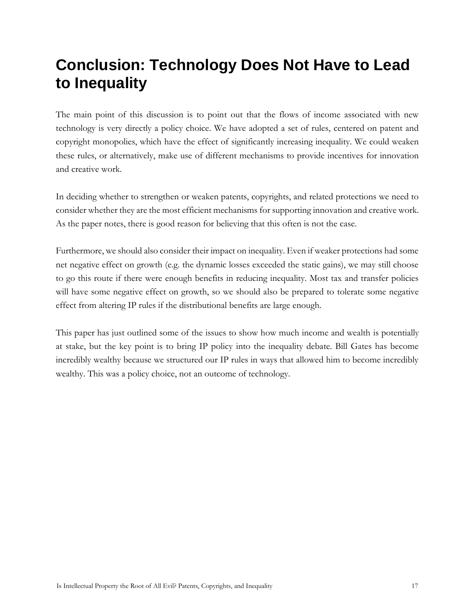### <span id="page-16-0"></span>**Conclusion: Technology Does Not Have to Lead to Inequality**

The main point of this discussion is to point out that the flows of income associated with new technology is very directly a policy choice. We have adopted a set of rules, centered on patent and copyright monopolies, which have the effect of significantly increasing inequality. We could weaken these rules, or alternatively, make use of different mechanisms to provide incentives for innovation and creative work.

In deciding whether to strengthen or weaken patents, copyrights, and related protections we need to consider whether they are the most efficient mechanisms for supporting innovation and creative work. As the paper notes, there is good reason for believing that this often is not the case.

Furthermore, we should also consider their impact on inequality. Even if weaker protections had some net negative effect on growth (e.g. the dynamic losses exceeded the static gains), we may still choose to go this route if there were enough benefits in reducing inequality. Most tax and transfer policies will have some negative effect on growth, so we should also be prepared to tolerate some negative effect from altering IP rules if the distributional benefits are large enough.

This paper has just outlined some of the issues to show how much income and wealth is potentially at stake, but the key point is to bring IP policy into the inequality debate. Bill Gates has become incredibly wealthy because we structured our IP rules in ways that allowed him to become incredibly wealthy. This was a policy choice, not an outcome of technology.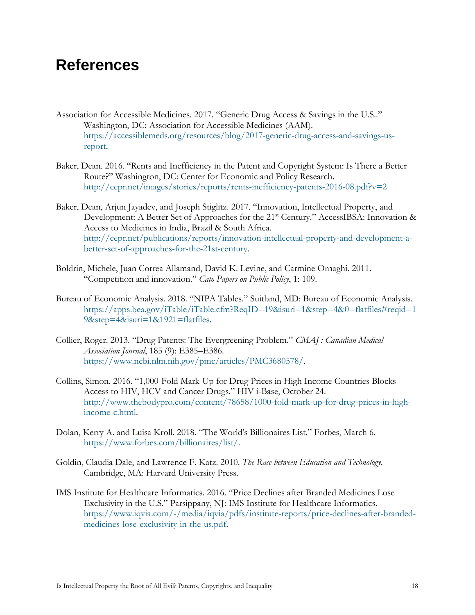### <span id="page-17-0"></span>**References**

- Association for Accessible Medicines. 2017. "Generic Drug Access & Savings in the U.S.." Washington, DC: Association for Accessible Medicines (AAM). [https://accessiblemeds.org/resources/blog/2017-generic-drug-access-and-savings-us](https://accessiblemeds.org/resources/blog/2017-generic-drug-access-and-savings-us-report)[report.](https://accessiblemeds.org/resources/blog/2017-generic-drug-access-and-savings-us-report)
- Baker, Dean. 2016. "Rents and Inefficiency in the Patent and Copyright System: Is There a Better Route?" Washington, DC: Center for Economic and Policy Research. <http://cepr.net/images/stories/reports/rents-inefficiency-patents-2016-08.pdf?v=2>
- Baker, Dean, Arjun Jayadev, and Joseph Stiglitz. 2017. "Innovation, Intellectual Property, and Development: A Better Set of Approaches for the 21<sup>st</sup> Century." AccessIBSA: Innovation & Access to Medicines in India, Brazil & South Africa. [http://cepr.net/publications/reports/innovation-intellectual-property-and-development-a](http://cepr.net/publications/reports/innovation-intellectual-property-and-development-a-better-set-of-approaches-for-the-21st-century)[better-set-of-approaches-for-the-21st-century.](http://cepr.net/publications/reports/innovation-intellectual-property-and-development-a-better-set-of-approaches-for-the-21st-century)
- Boldrin, Michele, Juan Correa Allamand, David K. Levine, and Carmine Ornaghi. 2011. "Competition and innovation." *Cato Papers on Public Policy*, 1: 109.
- Bureau of Economic Analysis. 2018. "NIPA Tables." Suitland, MD: Bureau of Economic Analysis. [https://apps.bea.gov/iTable/iTable.cfm?ReqID=19&isuri=1&step=4&0=flatfiles#reqid=1](https://apps.bea.gov/iTable/iTable.cfm?ReqID=19&isuri=1&step=4&0=flatfiles#reqid=19&step=4&isuri=1&1921=flatfiles) [9&step=4&isuri=1&1921=flatfiles.](https://apps.bea.gov/iTable/iTable.cfm?ReqID=19&isuri=1&step=4&0=flatfiles#reqid=19&step=4&isuri=1&1921=flatfiles)
- Collier, Roger. 2013. "Drug Patents: The Evergreening Problem." *CMAJ : Canadian Medical Association Journal*, 185 (9): E385–E386. [https://www.ncbi.nlm.nih.gov/pmc/articles/PMC3680578/.](https://www.ncbi.nlm.nih.gov/pmc/articles/PMC3680578/)
- Collins, Simon. 2016. "1,000-Fold Mark-Up for Drug Prices in High Income Countries Blocks Access to HIV, HCV and Cancer Drugs." HIV i-Base, October 24. [http://www.thebodypro.com/content/78658/1000-fold-mark-up-for-drug-prices-in-high](http://www.thebodypro.com/content/78658/1000-fold-mark-up-for-drug-prices-in-high-income-c.html)[income-c.html.](http://www.thebodypro.com/content/78658/1000-fold-mark-up-for-drug-prices-in-high-income-c.html)
- Dolan, Kerry A. and Luisa Kroll. 2018. "The World's Billionaires List." Forbes, March 6. [https://www.forbes.com/billionaires/list/.](https://www.forbes.com/billionaires/list/)
- Goldin, Claudia Dale, and Lawrence F. Katz. 2010. *The Race between Education and Technology*. Cambridge, MA: Harvard University Press.
- IMS Institute for Healthcare Informatics. 2016. "Price Declines after Branded Medicines Lose Exclusivity in the U.S." Parsippany, NJ: IMS Institute for Healthcare Informatics. [https://www.iqvia.com/-/media/iqvia/pdfs/institute-reports/price-declines-after-branded](https://www.iqvia.com/-/media/iqvia/pdfs/institute-reports/price-declines-after-branded-medicines-lose-exclusivity-in-the-us.pdf)[medicines-lose-exclusivity-in-the-us.pdf.](https://www.iqvia.com/-/media/iqvia/pdfs/institute-reports/price-declines-after-branded-medicines-lose-exclusivity-in-the-us.pdf)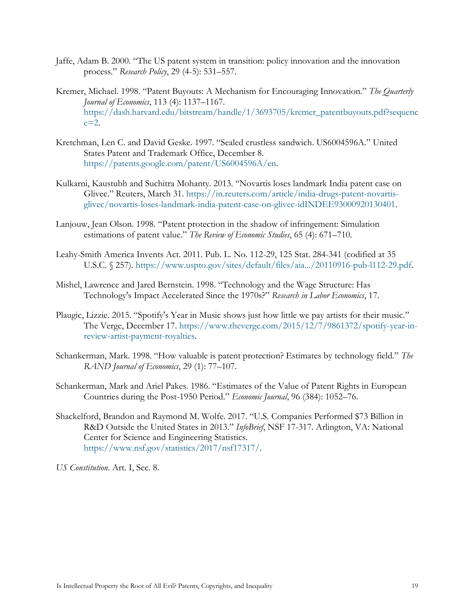- Jaffe, Adam B. 2000. "The US patent system in transition: policy innovation and the innovation process." *Research Policy*, 29 (4-5): 531–557.
- Kremer, Michael. 1998. "Patent Buyouts: A Mechanism for Encouraging Innovation." *The Quarterly Journal of Economics*, 113 (4): 1137–1167. [https://dash.harvard.edu/bitstream/handle/1/3693705/kremer\\_patentbuyouts.pdf?sequenc](https://dash.harvard.edu/bitstream/handle/1/3693705/kremer_patentbuyouts.pdf?sequence=2)  $e=2$ .
- Kretchman, Len C. and David Geske. 1997. "Sealed crustless sandwich. US6004596A." United States Patent and Trademark Office, December 8. [https://patents.google.com/patent/US6004596A/en.](https://patents.google.com/patent/US6004596A/en)
- Kulkarni, Kaustubh and Suchitra Mohanty. 2013. "Novartis loses landmark India patent case on Glivec." Reuters, March 31. [https://in.reuters.com/article/india-drugs-patent-novartis](https://in.reuters.com/article/india-drugs-patent-novartis-glivec/novartis-loses-landmark-india-patent-case-on-glivec-idINDEE93000920130401)[glivec/novartis-loses-landmark-india-patent-case-on-glivec-idINDEE93000920130401.](https://in.reuters.com/article/india-drugs-patent-novartis-glivec/novartis-loses-landmark-india-patent-case-on-glivec-idINDEE93000920130401)
- Lanjouw, Jean Olson. 1998. "Patent protection in the shadow of infringement: Simulation estimations of patent value." *The Review of Economic Studies*, 65 (4): 671–710.
- Leahy-Smith America Invents Act. 2011. Pub. L. No. 112-29, 125 Stat. 284-341 (codified at 35 U.S.C. § 257). [https://www.uspto.gov/sites/default/files/aia.../20110916-pub-l112-29.pdf.](https://www.uspto.gov/sites/default/files/aia.../20110916-pub-l112-29.pdf)
- Mishel, Lawrence and Jared Bernstein. 1998. "Technology and the Wage Structure: Has Technology's Impact Accelerated Since the 1970s?" *Research in Labor Economics*, 17.
- Plaugic, Lizzie. 2015. "Spotify's Year in Music shows just how little we pay artists for their music." The Verge, December 17. [https://www.theverge.com/2015/12/7/9861372/spotify-year-in](https://www.theverge.com/2015/12/7/9861372/spotify-year-in-review-artist-payment-royalties)[review-artist-payment-royalties.](https://www.theverge.com/2015/12/7/9861372/spotify-year-in-review-artist-payment-royalties)
- Schankerman, Mark. 1998. "How valuable is patent protection? Estimates by technology field." *The RAND Journal of Economics*, 29 (1): 77–107.
- Schankerman, Mark and Ariel Pakes. 1986. "Estimates of the Value of Patent Rights in European Countries during the Post-1950 Period." *Economic Journal*, 96 (384): 1052–76.
- Shackelford, Brandon and Raymond M. Wolfe. 2017. "U.S. Companies Performed \$73 Billion in R&D Outside the United States in 2013." *InfoBrief*, NSF 17-317. Arlington, VA: National Center for Science and Engineering Statistics. [https://www.nsf.gov/statistics/2017/nsf17317/.](https://www.nsf.gov/statistics/2017/nsf17317/)

*US Constitution*. Art. I, Sec. 8.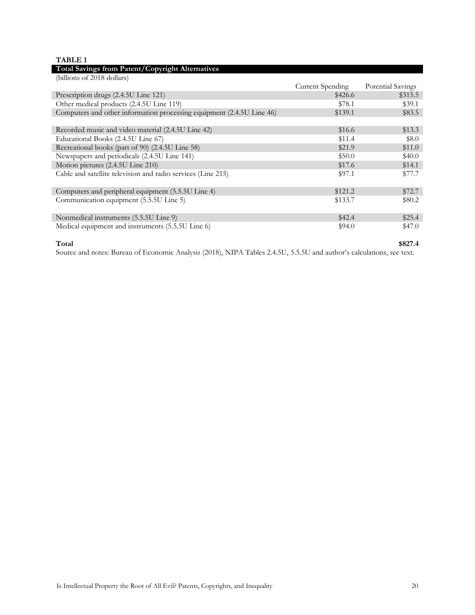#### **TABLE 1**

| Total Savings from Patent/Copyright Alternatives                      |                         |                   |
|-----------------------------------------------------------------------|-------------------------|-------------------|
| (billions of 2018 dollars)                                            |                         |                   |
|                                                                       | <b>Current Spending</b> | Potential Savings |
| Prescription drugs (2.4.5U Line 121)                                  | \$426.6                 | \$315.5           |
| Other medical products (2.4.5U Line 119)                              | \$78.1                  | \$39.1            |
| Computers and other information processing equipment (2.4.5U Line 46) | \$139.1                 | \$83.5            |
|                                                                       |                         |                   |
| Recorded music and video material (2.4.5U Line 42)                    | \$16.6                  | \$13.3            |
| Educational Books (2.4.5U Line 67)                                    | \$11.4                  | \$8.0             |
| Recreational books (part of 90) (2.4.5U Line 58)                      | \$21.9                  | \$11.0            |
| Newspapers and periodicals (2.4.5U Line 141)                          | \$50.0                  | \$40.0            |
| Motion pictures (2.4.5U Line 210)                                     | \$17.6                  | \$14.1            |
| Cable and satellite television and radio services (Line 215)          | \$97.1                  | \$77.7            |
|                                                                       |                         |                   |
| Computers and peripheral equipment (5.5.5U Line 4)                    | \$121.2                 | \$72.7            |
| Communication equipment (5.5.5U Line 5)                               | \$133.7                 | \$80.2            |
|                                                                       |                         |                   |
| Nonmedical instruments (5.5.5U Line 9)                                | \$42.4                  | \$25.4            |
| Medical equipment and instruments (5.5.5U Line 6)                     | \$94.0                  | \$47.0            |
|                                                                       |                         |                   |

#### **Total \$827.4**

Source and notes: Bureau of Economic Analysis (2018), NIPA Tables 2.4.5U, 5.5.5U and author's calculations, see text.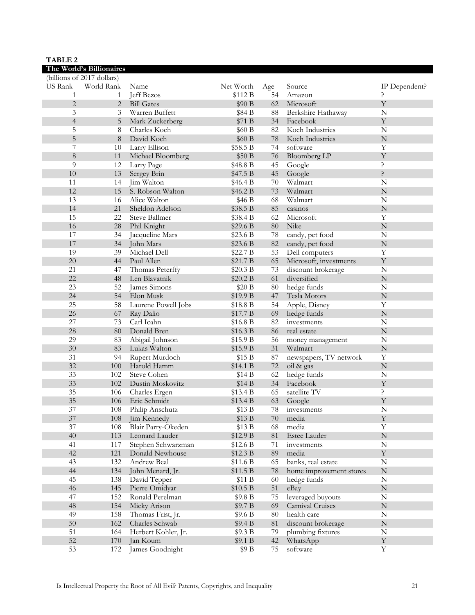| <b>TABLE 2</b> |                            |                               |                      |        |                         |                          |
|----------------|----------------------------|-------------------------------|----------------------|--------|-------------------------|--------------------------|
|                | The World's Billionaires   |                               |                      |        |                         |                          |
|                | (billions of 2017 dollars) |                               |                      |        |                         |                          |
| <b>US Rank</b> | World Rank                 | Name                          | Net Worth            | Age    | Source                  | IP Dependent?            |
| 1              | 1                          | Jeff Bezos                    | \$112 B              | 54     | Amazon                  | ?                        |
| $\overline{2}$ | 2                          | <b>Bill Gates</b>             | \$90 B               | 62     | Microsoft               | Y                        |
| 3              | 3                          | Warren Buffett                | \$84 B               | $88\,$ | Berkshire Hathaway      | $\mathbb N$              |
| $\overline{4}$ | 5                          | Mark Zuckerberg               | \$71 B               | 34     | Facebook                | $\mathbf Y$              |
| 5              | 8                          | Charles Koch                  | \$60 B               | 82     | Koch Industries         | ${\bf N}$                |
| 5              | 8                          | David Koch                    | \$60 B               | 78     | Koch Industries         | ${\bf N}$                |
| 7              | 10                         | Larry Ellison                 | \$58.5 B             | 74     | software                | Y                        |
| 8              | 11                         | Michael Bloomberg             | \$50 B               | 76     | <b>Bloomberg LP</b>     | $\mathbf Y$              |
| 9              | 12                         | Larry Page                    | \$48.8 B             | 45     | Google                  | \$.                      |
| 10             | 13                         | Sergey Brin                   | \$47.5 B             | 45     | Google                  | Ç.                       |
| 11             | 14                         | Jim Walton                    | \$46.4 B             | 70     | Walmart                 | $\mathbb N$              |
| 12             | 15                         | S. Robson Walton              | \$46.2 B             | 73     | Walmart                 | $\mathbf N$              |
| 13             | 16                         | Alice Walton                  | \$46 B               | 68     | Walmart                 | $\mathbf N$              |
| 14             | 21                         | Sheldon Adelson               | \$38.5 B             | 85     | casinos                 | ${\bf N}$                |
| 15             | 22                         | Steve Ballmer                 | \$38.4 B             | 62     | Microsoft               | Y                        |
| 16             | 28                         | Phil Knight                   | \$29.6 B             | 80     | Nike                    | $\mathbf N$              |
| 17             | 34                         | Jacqueline Mars               | \$23.6 B             | 78     | candy, pet food         | $\mathbf N$              |
| 17             | 34                         | John Mars                     | \$23.6 B             | $82\,$ | candy, pet food         | ${\bf N}$                |
| 19             | 39                         | Michael Dell                  | \$22.7 B             | 53     | Dell computers          | $\mathbf Y$              |
| 20             | 44                         | Paul Allen                    | \$21.7 B             | 65     | Microsoft, investments  | $\mathbf Y$              |
| 21             | 47                         | Thomas Peterffy               | \$20.3 B             | 73     | discount brokerage      | $\mathbb N$              |
| 22             | 48                         | Len Blavatnik                 | \$20.2 B             | 61     | diversified             | ${\bf N}$                |
| 23             | 52                         | James Simons                  | \$20 B               | $80\,$ | hedge funds             | $\mathbb N$              |
| 24             | 54                         | Elon Musk                     | \$19.9 B             | 47     | Tesla Motors            | ${\bf N}$                |
| 25             | 58                         |                               |                      |        |                         | $\mathbf Y$              |
| 26             | 67                         | Laurene Powell Jobs           | \$18.8 B<br>\$17.7 B | 54     | Apple, Disney           | ${\bf N}$                |
| 27             |                            | Ray Dalio<br>Carl Icahn       |                      | 69     | hedge funds             |                          |
|                | 73                         |                               | \$16.8 B             | 82     | investments             | ${\bf N}$<br>${\bf N}$   |
| 28<br>29       | 80                         | Donald Bren                   | \$16.3 B             | 86     | real estate             |                          |
|                | 83                         | Abigail Johnson               | \$15.9 B             | 56     | money management        | $\mathbb N$<br>${\bf N}$ |
| 30             | 83                         | Lukas Walton                  | \$15.9 B             | 31     | Walmart                 | $\mathbf Y$              |
| 31<br>32       | 94                         | Rupert Murdoch<br>Harold Hamm | \$15 B               | 87     | newspapers, TV network  | $\mathbf N$              |
| 33             | 100                        |                               | \$14.1 B             | 72     | oil & gas               |                          |
|                | 102                        | Steve Cohen                   | \$14 B               | 62     | hedge funds             | $\mathbb N$              |
| 33             | 102                        | Dustin Moskovitz              | \$14 B               | 34     | Facebook                | $\mathbf Y$              |
| 35             | 106                        | Charles Ergen                 | \$13.4 B             | 65     | satellite TV            | ç.                       |
| 35             | 106                        | Eric Schmidt                  | \$13.4 B             | 63     | Google                  | Y                        |
| $37\,$         | 108                        | Philip Anschutz               | \$13 B               | 78     | investments             | ${\bf N}$                |
| $37\,$         | 108                        | Jim Kennedy                   | \$13 B               | $70\,$ | media                   | $\mathbf Y$              |
| $37\,$         | 108                        | Blair Parry-Okeden            | \$13 B               | 68     | media                   | Y                        |
| 40             | 113                        | Leonard Lauder                | \$12.9 B             | $81\,$ | Estee Lauder            | ${\bf N}$                |
| 41             | 117                        | Stephen Schwarzman            | \$12.6B              | 71     | investments             | N                        |
| $42\,$         | 121                        | Donald Newhouse               | \$12.3 B             | 89     | media                   | $\mathbf Y$              |
| 43             | 132                        | Andrew Beal                   | \$11.6 B             | 65     | banks, real estate      | ${\bf N}$                |
| 44             | 134                        | John Menard, Jr.              | \$11.5 B             | 78     | home improvement stores | ${\bf N}$                |
| 45             | 138                        | David Tepper                  | \$11B                | 60     | hedge funds             | ${\bf N}$                |
| 46             | 145                        | Pierre Omidyar                | $\$10.5$ B           | 51     | eBay                    | ${\bf N}$                |
| 47             | 152                        | Ronald Perelman               | \$9.8 B              | 75     | leveraged buyouts       | N                        |
| 48             | 154                        | Micky Arison                  | \$9.7 B              | 69     | Carnival Cruises        | ${\bf N}$                |
| 49             | 158                        | Thomas Frist, Jr.             | \$9.6 B              | $80\,$ | health care             | ${\bf N}$                |
| $50\,$         | 162                        | Charles Schwab                | \$9.4 B              | $81\,$ | discount brokerage      | ${\bf N}$                |
| 51             | 164                        | Herbert Kohler, Jr.           | \$9.3 B              | 79     | plumbing fixtures       | ${\bf N}$                |
| 52             | 170                        | Jan Koum                      | \$9.1 B              | $42\,$ | WhatsApp                | $\mathbf Y$              |
| 53             | 172                        | James Goodnight               | \$9 B                | $75\,$ | software                | $\mathbf Y$              |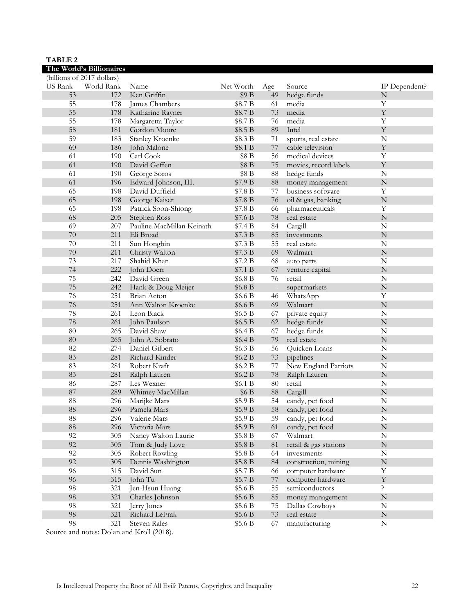| <b>TABLE 2</b>             |            |                           |           |                   |                       |               |
|----------------------------|------------|---------------------------|-----------|-------------------|-----------------------|---------------|
| The World's Billionaires   |            |                           |           |                   |                       |               |
| (billions of 2017 dollars) |            |                           |           |                   |                       |               |
| US Rank                    | World Rank | Name                      | Net Worth | Age               | Source                | IP Dependent? |
| 53                         | 172        | Ken Griffin               | \$9 B     | 49                | hedge funds           | ${\bf N}$     |
| 55                         | 178        | James Chambers            | \$8.7 B   | 61                | media                 | Y             |
| 55                         | 178        | Katharine Rayner          | \$8.7 B   | 73                | media                 | $\mathbf Y$   |
| 55                         | 178        | Margaretta Taylor         | \$8.7 B   | 76                | media                 | Y             |
| 58                         | 181        | Gordon Moore              | \$8.5 B   | 89                | Intel                 | $\mathbf Y$   |
| 59                         | 183        | <b>Stanley Kroenke</b>    | \$8.3 B   | $71\,$            | sports, real estate   | ${\bf N}$     |
| 60                         | 186        | John Malone               | \$8.1 B   | $77\,$            | cable television      | $\mathbf Y$   |
| 61                         | 190        | Carl Cook                 | \$8 B     | 56                | medical devices       | Y             |
| 61                         | 190        | David Geffen              | \$8 B     | 75                | movies, record labels | $\mathbf Y$   |
| 61                         | 190        | George Soros              | \$8 B     | $88\,$            | hedge funds           | ${\bf N}$     |
| 61                         | 196        | Edward Johnson, III.      | \$7.9 B   | $88\,$            | money management      | ${\bf N}$     |
| 65                         | 198        | David Duffield            | \$7.8 B   | 77                | business software     | Y             |
| 65                         | 198        | George Kaiser             | \$7.8 B   | 76                | oil & gas, banking    | ${\bf N}$     |
| 65                         | 198        | Patrick Soon-Shiong       | \$7.8 B   | 66                | pharmaceuticals       | Y             |
| 68                         | 205        | Stephen Ross              | \$7.6 B   | 78                | real estate           | $\mathbf N$   |
| 69                         | 207        | Pauline MacMillan Keinath | \$7.4 B   | 84                | Cargill               | ${\bf N}$     |
| 70                         | 211        | Eli Broad                 | \$7.3 B   | 85                | investments           | ${\bf N}$     |
| 70                         | 211        | Sun Hongbin               | \$7.3 B   | 55                | real estate           | ${\bf N}$     |
| 70                         | 211        | Christy Walton            | \$7.3 B   | 69                | Walmart               | ${\bf N}$     |
| 73                         | 217        | Shahid Khan               | \$7.2 B   | 68                | auto parts            | ${\bf N}$     |
| 74                         | 222        | John Doerr                | \$7.1 B   | 67                | venture capital       | ${\bf N}$     |
| 75                         | 242        | David Green               | \$6.8 B   | 76                | retail                | ${\bf N}$     |
| 75                         | 242        | Hank & Doug Meijer        | \$6.8 B   | $\qquad \qquad -$ | supermarkets          | ${\bf N}$     |
| 76                         | 251        | Brian Acton               | \$6.6 B   | 46                | WhatsApp              | Y             |
| 76                         | 251        | Ann Walton Kroenke        | \$6.6 B   | 69                | Walmart               | ${\bf N}$     |
| 78                         | 261        | Leon Black                | \$6.5 B   | 67                | private equity        | ${\bf N}$     |
| 78                         | 261        | John Paulson              | \$6.5 B   | 62                | hedge funds           | $\mathbf N$   |
| 80                         | 265        | David Shaw                | \$6.4 B   | 67                | hedge funds           | ${\bf N}$     |
| 80                         | 265        | John A. Sobrato           | \$6.4 B   | 79                | real estate           | ${\bf N}$     |
| 82                         | 274        | Daniel Gilbert            | \$6.3 B   | 56                | Quicken Loans         | ${\bf N}$     |
| 83                         | 281        | Richard Kinder            | \$6.2 B   | $73\,$            | pipelines             | $\mathbf N$   |
| 83                         | 281        | Robert Kraft              | \$6.2 B   | 77                | New England Patriots  | ${\bf N}$     |
| 83                         | 281        | Ralph Lauren              | \$6.2 B   | $78\,$            | Ralph Lauren          | ${\bf N}$     |
| 86                         | 287        | Les Wexner                | \$6.1 B   | 80                | retail                | ${\bf N}$     |
| 87                         | 289        | Whitney MacMillan         | \$6 B     | $88\,$            | Cargill               | $\mathbf N$   |
| 88                         |            | 296 Marijke Mars          | \$5.9 B   |                   | 54 candy, pet food    | ${\bf N}$     |
| 88                         | 296        | Pamela Mars               | \$5.9 B   | 58                | candy, pet food       | $\mathbf N$   |
| 88                         | 296        | Valerie Mars              | \$5.9 B   | 59                | candy, pet food       | N             |
| $88\,$                     | 296        | Victoria Mars             | \$5.9 B   | 61                | candy, pet food       | ${\bf N}$     |
| 92                         | 305        | Nancy Walton Laurie       | \$5.8 B   | 67                | Walmart               | N             |
| 92                         | 305        | Tom & Judy Love           | \$5.8 B   | $81\,$            | retail & gas stations | ${\bf N}$     |
| 92                         | 305        | Robert Rowling            | \$5.8 B   | 64                | investments           | N             |
| 92                         | 305        | Dennis Washington         | \$5.8 B   | 84                | construction, mining  | ${\bf N}$     |
| 96                         | 315        | David Sun                 | \$5.7 B   | 66                | computer hardware     | $\mathbf Y$   |
| 96                         | 315        | John Tu                   | \$5.7 B   | 77                | computer hardware     | $\mathbf Y$   |
| 98                         | 321        | Jen-Hsun Huang            | \$5.6 B   | 55                | semiconductors        | ?             |
| 98                         | 321        | Charles Johnson           | \$5.6 B   | 85                | money management      | ${\bf N}$     |
| 98                         | 321        | Jerry Jones               | \$5.6 B   | 75                | Dallas Cowboys        | N             |
| 98                         | 321        | Richard LeFrak            | \$5.6 B   | $73\,$            | real estate           | ${\bf N}$     |
| 98                         | 321        | Steven Rales              | \$5.6 B   | 67                | manufacturing         | ${\bf N}$     |

Source and notes: Dolan and Kroll (2018).